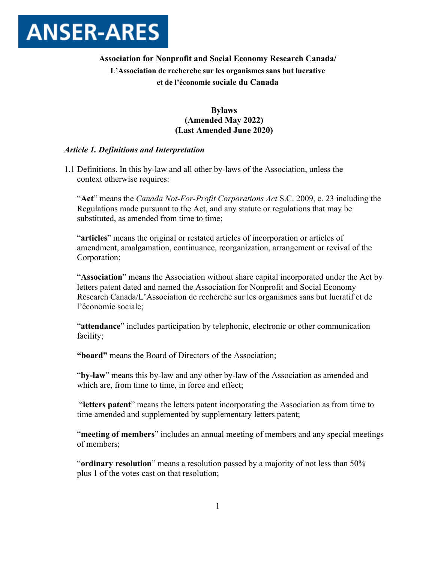

# **Association for Nonprofit and Social Economy Research Canada/ L'Association de recherche sur les organismes sans but lucrative et de l'économie sociale du Canada**

# **Bylaws (Amended May 2022) (Last Amended June 2020)**

## *Article 1. Definitions and Interpretation*

1.1 Definitions. In this by-law and all other by-laws of the Association, unless the context otherwise requires:

"**Act**" means the *Canada Not-For-Profit Corporations Act* S.C. 2009, c. 23 including the Regulations made pursuant to the Act, and any statute or regulations that may be substituted, as amended from time to time;

"**articles**" means the original or restated articles of incorporation or articles of amendment, amalgamation, continuance, reorganization, arrangement or revival of the Corporation;

"**Association**" means the Association without share capital incorporated under the Act by letters patent dated and named the Association for Nonprofit and Social Economy Research Canada/L'Association de recherche sur les organismes sans but lucratif et de l'économie sociale;

"**attendance**" includes participation by telephonic, electronic or other communication facility;

**"board"** means the Board of Directors of the Association;

"**by-law**" means this by-law and any other by-law of the Association as amended and which are, from time to time, in force and effect;

"**letters patent**" means the letters patent incorporating the Association as from time to time amended and supplemented by supplementary letters patent;

"**meeting of members**" includes an annual meeting of members and any special meetings of members;

"**ordinary resolution**" means a resolution passed by a majority of not less than 50% plus 1 of the votes cast on that resolution;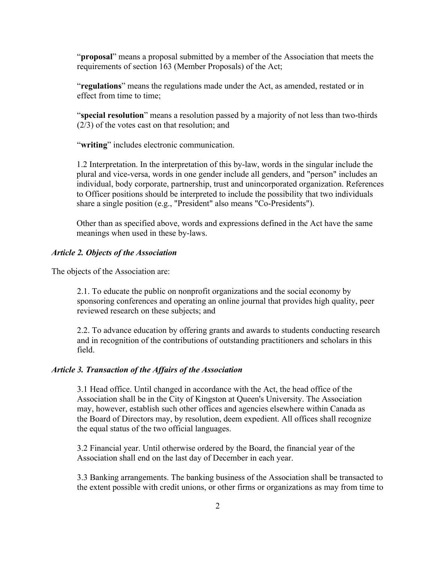"**proposal**" means a proposal submitted by a member of the Association that meets the requirements of section 163 (Member Proposals) of the Act;

"**regulations**" means the regulations made under the Act, as amended, restated or in effect from time to time;

"**special resolution**" means a resolution passed by a majority of not less than two-thirds (2/3) of the votes cast on that resolution; and

"**writing**" includes electronic communication.

1.2 Interpretation. In the interpretation of this by-law, words in the singular include the plural and vice-versa, words in one gender include all genders, and "person" includes an individual, body corporate, partnership, trust and unincorporated organization. References to Officer positions should be interpreted to include the possibility that two individuals share a single position (e.g., "President" also means "Co-Presidents").

Other than as specified above, words and expressions defined in the Act have the same meanings when used in these by-laws.

## *Article 2. Objects of the Association*

The objects of the Association are:

2.1. To educate the public on nonprofit organizations and the social economy by sponsoring conferences and operating an online journal that provides high quality, peer reviewed research on these subjects; and

2.2. To advance education by offering grants and awards to students conducting research and in recognition of the contributions of outstanding practitioners and scholars in this field.

## *Article 3. Transaction of the Affairs of the Association*

3.1 Head office. Until changed in accordance with the Act, the head office of the Association shall be in the City of Kingston at Queen's University. The Association may, however, establish such other offices and agencies elsewhere within Canada as the Board of Directors may, by resolution, deem expedient. All offices shall recognize the equal status of the two official languages.

3.2 Financial year. Until otherwise ordered by the Board, the financial year of the Association shall end on the last day of December in each year.

3.3 Banking arrangements. The banking business of the Association shall be transacted to the extent possible with credit unions, or other firms or organizations as may from time to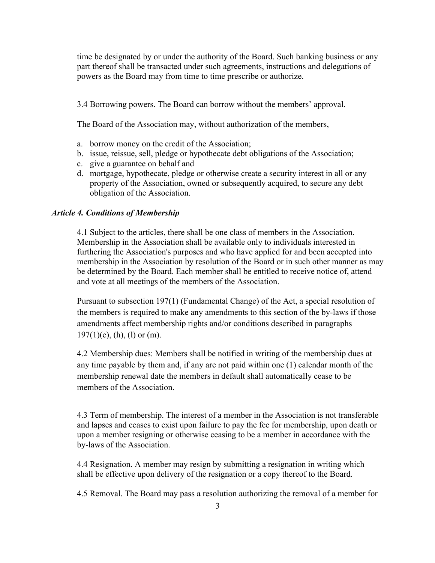time be designated by or under the authority of the Board. Such banking business or any part thereof shall be transacted under such agreements, instructions and delegations of powers as the Board may from time to time prescribe or authorize.

3.4 Borrowing powers. The Board can borrow without the members' approval.

The Board of the Association may, without authorization of the members,

- a. borrow money on the credit of the Association;
- b. issue, reissue, sell, pledge or hypothecate debt obligations of the Association;
- c. give a guarantee on behalf and
- d. mortgage, hypothecate, pledge or otherwise create a security interest in all or any property of the Association, owned or subsequently acquired, to secure any debt obligation of the Association.

## *Article 4. Conditions of Membership*

4.1 Subject to the articles, there shall be one class of members in the Association. Membership in the Association shall be available only to individuals interested in furthering the Association's purposes and who have applied for and been accepted into membership in the Association by resolution of the Board or in such other manner as may be determined by the Board. Each member shall be entitled to receive notice of, attend and vote at all meetings of the members of the Association.

Pursuant to subsection 197(1) (Fundamental Change) of the Act, a special resolution of the members is required to make any amendments to this section of the by-laws if those amendments affect membership rights and/or conditions described in paragraphs  $197(1)(e)$ , (h), (l) or (m).

4.2 Membership dues: Members shall be notified in writing of the membership dues at any time payable by them and, if any are not paid within one (1) calendar month of the membership renewal date the members in default shall automatically cease to be members of the Association.

4.3 Term of membership. The interest of a member in the Association is not transferable and lapses and ceases to exist upon failure to pay the fee for membership, upon death or upon a member resigning or otherwise ceasing to be a member in accordance with the by-laws of the Association.

4.4 Resignation. A member may resign by submitting a resignation in writing which shall be effective upon delivery of the resignation or a copy thereof to the Board.

4.5 Removal. The Board may pass a resolution authorizing the removal of a member for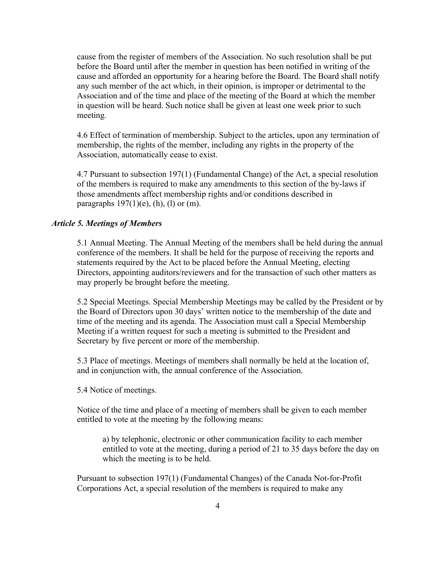cause from the register of members of the Association. No such resolution shall be put before the Board until after the member in question has been notified in writing of the cause and afforded an opportunity for a hearing before the Board. The Board shall notify any such member of the act which, in their opinion, is improper or detrimental to the Association and of the time and place of the meeting of the Board at which the member in question will be heard. Such notice shall be given at least one week prior to such meeting.

4.6 Effect of termination of membership. Subject to the articles, upon any termination of membership, the rights of the member, including any rights in the property of the Association, automatically cease to exist.

4.7 Pursuant to subsection 197(1) (Fundamental Change) of the Act, a special resolution of the members is required to make any amendments to this section of the by-laws if those amendments affect membership rights and/or conditions described in paragraphs  $197(1)(e)$ , (h), (l) or (m).

## *Article 5. Meetings of Members*

5.1 Annual Meeting. The Annual Meeting of the members shall be held during the annual conference of the members. It shall be held for the purpose of receiving the reports and statements required by the Act to be placed before the Annual Meeting, electing Directors, appointing auditors/reviewers and for the transaction of such other matters as may properly be brought before the meeting.

5.2 Special Meetings. Special Membership Meetings may be called by the President or by the Board of Directors upon 30 days' written notice to the membership of the date and time of the meeting and its agenda. The Association must call a Special Membership Meeting if a written request for such a meeting is submitted to the President and Secretary by five percent or more of the membership.

5.3 Place of meetings. Meetings of members shall normally be held at the location of, and in conjunction with, the annual conference of the Association.

5.4 Notice of meetings.

Notice of the time and place of a meeting of members shall be given to each member entitled to vote at the meeting by the following means:

a) by telephonic, electronic or other communication facility to each member entitled to vote at the meeting, during a period of 21 to 35 days before the day on which the meeting is to be held.

Pursuant to subsection 197(1) (Fundamental Changes) of the Canada Not-for-Profit Corporations Act, a special resolution of the members is required to make any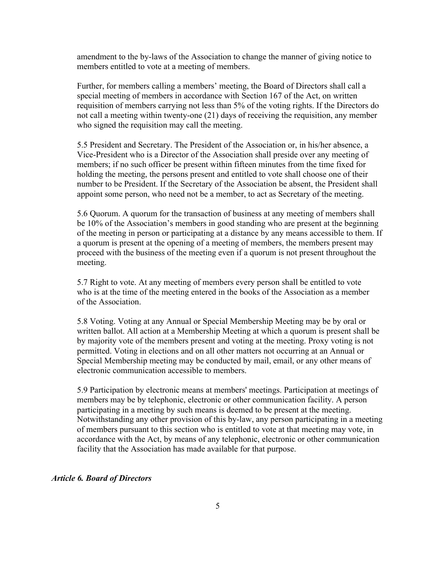amendment to the by-laws of the Association to change the manner of giving notice to members entitled to vote at a meeting of members.

Further, for members calling a members' meeting, the Board of Directors shall call a special meeting of members in accordance with Section 167 of the Act, on written requisition of members carrying not less than 5% of the voting rights. If the Directors do not call a meeting within twenty-one (21) days of receiving the requisition, any member who signed the requisition may call the meeting.

5.5 President and Secretary. The President of the Association or, in his/her absence, a Vice-President who is a Director of the Association shall preside over any meeting of members; if no such officer be present within fifteen minutes from the time fixed for holding the meeting, the persons present and entitled to vote shall choose one of their number to be President. If the Secretary of the Association be absent, the President shall appoint some person, who need not be a member, to act as Secretary of the meeting.

5.6 Quorum. A quorum for the transaction of business at any meeting of members shall be 10% of the Association's members in good standing who are present at the beginning of the meeting in person or participating at a distance by any means accessible to them. If a quorum is present at the opening of a meeting of members, the members present may proceed with the business of the meeting even if a quorum is not present throughout the meeting.

5.7 Right to vote. At any meeting of members every person shall be entitled to vote who is at the time of the meeting entered in the books of the Association as a member of the Association.

5.8 Voting. Voting at any Annual or Special Membership Meeting may be by oral or written ballot. All action at a Membership Meeting at which a quorum is present shall be by majority vote of the members present and voting at the meeting. Proxy voting is not permitted. Voting in elections and on all other matters not occurring at an Annual or Special Membership meeting may be conducted by mail, email, or any other means of electronic communication accessible to members.

5.9 Participation by electronic means at members' meetings. Participation at meetings of members may be by telephonic, electronic or other communication facility. A person participating in a meeting by such means is deemed to be present at the meeting. Notwithstanding any other provision of this by-law, any person participating in a meeting of members pursuant to this section who is entitled to vote at that meeting may vote, in accordance with the Act, by means of any telephonic, electronic or other communication facility that the Association has made available for that purpose.

#### *Article 6. Board of Directors*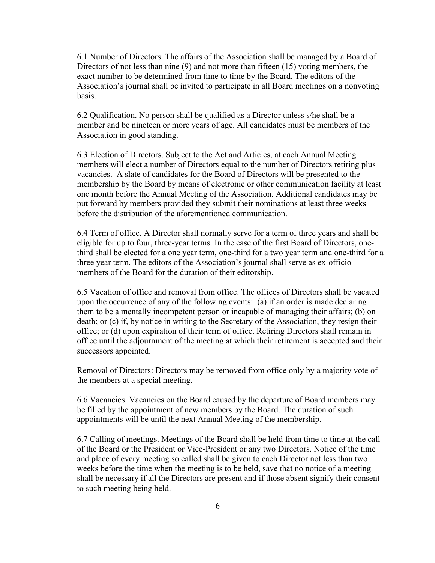6.1 Number of Directors. The affairs of the Association shall be managed by a Board of Directors of not less than nine (9) and not more than fifteen (15) voting members, the exact number to be determined from time to time by the Board. The editors of the Association's journal shall be invited to participate in all Board meetings on a nonvoting basis.

6.2 Qualification. No person shall be qualified as a Director unless s/he shall be a member and be nineteen or more years of age. All candidates must be members of the Association in good standing.

6.3 Election of Directors. Subject to the Act and Articles, at each Annual Meeting members will elect a number of Directors equal to the number of Directors retiring plus vacancies. A slate of candidates for the Board of Directors will be presented to the membership by the Board by means of electronic or other communication facility at least one month before the Annual Meeting of the Association. Additional candidates may be put forward by members provided they submit their nominations at least three weeks before the distribution of the aforementioned communication.

6.4 Term of office. A Director shall normally serve for a term of three years and shall be eligible for up to four, three-year terms. In the case of the first Board of Directors, onethird shall be elected for a one year term, one-third for a two year term and one-third for a three year term. The editors of the Association's journal shall serve as ex-officio members of the Board for the duration of their editorship.

6.5 Vacation of office and removal from office. The offices of Directors shall be vacated upon the occurrence of any of the following events: (a) if an order is made declaring them to be a mentally incompetent person or incapable of managing their affairs; (b) on death; or (c) if, by notice in writing to the Secretary of the Association, they resign their office; or (d) upon expiration of their term of office. Retiring Directors shall remain in office until the adjournment of the meeting at which their retirement is accepted and their successors appointed.

Removal of Directors: Directors may be removed from office only by a majority vote of the members at a special meeting.

6.6 Vacancies. Vacancies on the Board caused by the departure of Board members may be filled by the appointment of new members by the Board. The duration of such appointments will be until the next Annual Meeting of the membership.

6.7 Calling of meetings. Meetings of the Board shall be held from time to time at the call of the Board or the President or Vice-President or any two Directors. Notice of the time and place of every meeting so called shall be given to each Director not less than two weeks before the time when the meeting is to be held, save that no notice of a meeting shall be necessary if all the Directors are present and if those absent signify their consent to such meeting being held.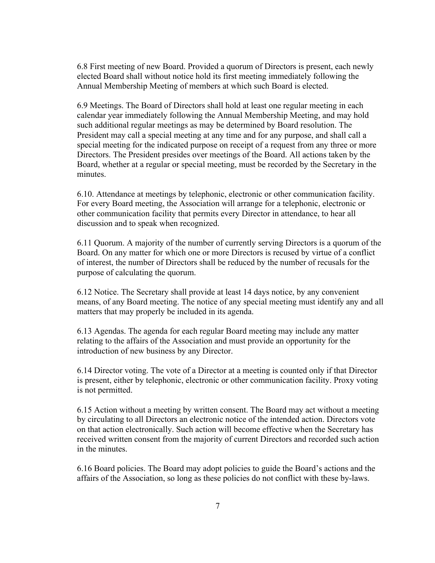6.8 First meeting of new Board. Provided a quorum of Directors is present, each newly elected Board shall without notice hold its first meeting immediately following the Annual Membership Meeting of members at which such Board is elected.

6.9 Meetings. The Board of Directors shall hold at least one regular meeting in each calendar year immediately following the Annual Membership Meeting, and may hold such additional regular meetings as may be determined by Board resolution. The President may call a special meeting at any time and for any purpose, and shall call a special meeting for the indicated purpose on receipt of a request from any three or more Directors. The President presides over meetings of the Board. All actions taken by the Board, whether at a regular or special meeting, must be recorded by the Secretary in the minutes.

6.10. Attendance at meetings by telephonic, electronic or other communication facility. For every Board meeting, the Association will arrange for a telephonic, electronic or other communication facility that permits every Director in attendance, to hear all discussion and to speak when recognized.

6.11 Quorum. A majority of the number of currently serving Directors is a quorum of the Board. On any matter for which one or more Directors is recused by virtue of a conflict of interest, the number of Directors shall be reduced by the number of recusals for the purpose of calculating the quorum.

6.12 Notice. The Secretary shall provide at least 14 days notice, by any convenient means, of any Board meeting. The notice of any special meeting must identify any and all matters that may properly be included in its agenda.

6.13 Agendas. The agenda for each regular Board meeting may include any matter relating to the affairs of the Association and must provide an opportunity for the introduction of new business by any Director.

6.14 Director voting. The vote of a Director at a meeting is counted only if that Director is present, either by telephonic, electronic or other communication facility. Proxy voting is not permitted.

6.15 Action without a meeting by written consent. The Board may act without a meeting by circulating to all Directors an electronic notice of the intended action. Directors vote on that action electronically. Such action will become effective when the Secretary has received written consent from the majority of current Directors and recorded such action in the minutes.

6.16 Board policies. The Board may adopt policies to guide the Board's actions and the affairs of the Association, so long as these policies do not conflict with these by-laws.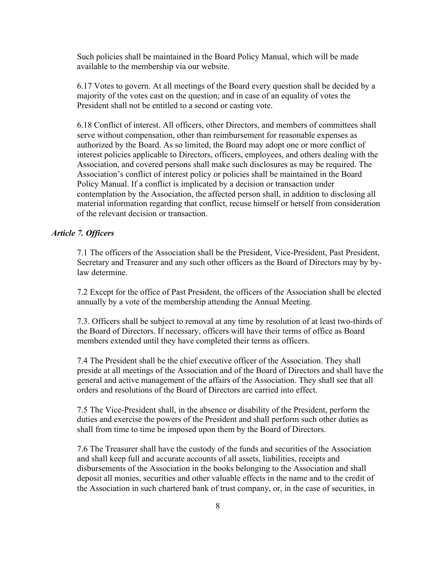Such policies shall be maintained in the Board Policy Manual, which will be made available to the membership via our website.

6.17 Votes to govern. At all meetings of the Board every question shall be decided by a majority of the votes cast on the question; and in case of an equality of votes the President shall not be entitled to a second or casting vote.

6.18 Conflict of interest. All officers, other Directors, and members of committees shall serve without compensation, other than reimbursement for reasonable expenses as authorized by the Board. As so limited, the Board may adopt one or more conflict of interest policies applicable to Directors, officers, employees, and others dealing with the Association, and covered persons shall make such disclosures as may be required. The Association's conflict of interest policy or policies shall be maintained in the Board Policy Manual. If a conflict is implicated by a decision or transaction under contemplation by the Association, the affected person shall, in addition to disclosing all material information regarding that conflict, recuse himself or herself from consideration of the relevant decision or transaction.

#### *Article 7. Officers*

7.1 The officers of the Association shall be the President, Vice-President, Past President, Secretary and Treasurer and any such other officers as the Board of Directors may by bylaw determine.

7.2 Except for the office of Past President, the officers of the Association shall be elected annually by a vote of the membership attending the Annual Meeting.

7.3. Officers shall be subject to removal at any time by resolution of at least two-thirds of the Board of Directors. If necessary, officers will have their terms of office as Board members extended until they have completed their terms as officers.

7.4 The President shall be the chief executive officer of the Association. They shall preside at all meetings of the Association and of the Board of Directors and shall have the general and active management of the affairs of the Association. They shall see that all orders and resolutions of the Board of Directors are carried into effect.

7.5 The Vice-President shall, in the absence or disability of the President, perform the duties and exercise the powers of the President and shall perform such other duties as shall from time to time be imposed upon them by the Board of Directors.

7.6 The Treasurer shall have the custody of the funds and securities of the Association and shall keep full and accurate accounts of all assets, liabilities, receipts and disbursements of the Association in the books belonging to the Association and shall deposit all monies, securities and other valuable effects in the name and to the credit of the Association in such chartered bank of trust company, or, in the case of securities, in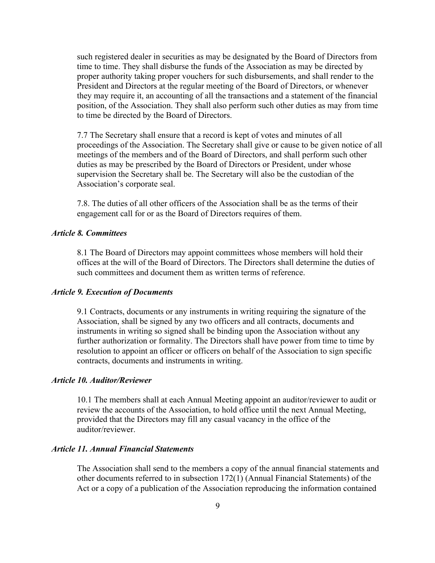such registered dealer in securities as may be designated by the Board of Directors from time to time. They shall disburse the funds of the Association as may be directed by proper authority taking proper vouchers for such disbursements, and shall render to the President and Directors at the regular meeting of the Board of Directors, or whenever they may require it, an accounting of all the transactions and a statement of the financial position, of the Association. They shall also perform such other duties as may from time to time be directed by the Board of Directors.

7.7 The Secretary shall ensure that a record is kept of votes and minutes of all proceedings of the Association. The Secretary shall give or cause to be given notice of all meetings of the members and of the Board of Directors, and shall perform such other duties as may be prescribed by the Board of Directors or President, under whose supervision the Secretary shall be. The Secretary will also be the custodian of the Association's corporate seal.

7.8. The duties of all other officers of the Association shall be as the terms of their engagement call for or as the Board of Directors requires of them.

## *Article 8. Committees*

8.1 The Board of Directors may appoint committees whose members will hold their offices at the will of the Board of Directors. The Directors shall determine the duties of such committees and document them as written terms of reference.

#### *Article 9. Execution of Documents*

9.1 Contracts, documents or any instruments in writing requiring the signature of the Association, shall be signed by any two officers and all contracts, documents and instruments in writing so signed shall be binding upon the Association without any further authorization or formality. The Directors shall have power from time to time by resolution to appoint an officer or officers on behalf of the Association to sign specific contracts, documents and instruments in writing.

## *Article 10. Auditor/Reviewer*

10.1 The members shall at each Annual Meeting appoint an auditor/reviewer to audit or review the accounts of the Association, to hold office until the next Annual Meeting, provided that the Directors may fill any casual vacancy in the office of the auditor/reviewer.

## *Article 11. Annual Financial Statements*

The Association shall send to the members a copy of the annual financial statements and other documents referred to in subsection 172(1) (Annual Financial Statements) of the Act or a copy of a publication of the Association reproducing the information contained